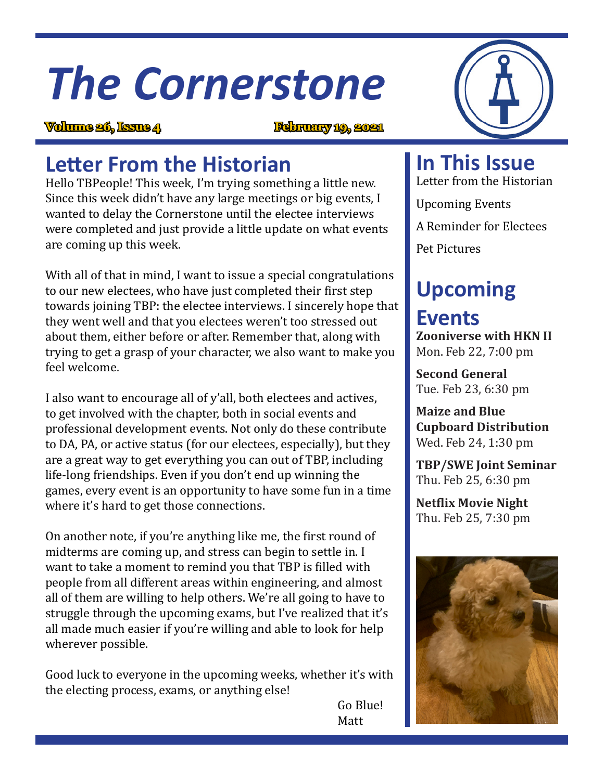# *The Cornerstone*

**Volume 26, Issue 4 February 19, 2021**

# **Letter From the Historian**

Hello TBPeople! This week, I'm trying something a little new. Since this week didn't have any large meetings or big events, I wanted to delay the Cornerstone until the electee interviews were completed and just provide a little update on what events are coming up this week.

With all of that in mind, I want to issue a special congratulations to our new electees, who have just completed their first step towards joining TBP: the electee interviews. I sincerely hope that they went well and that you electees weren't too stressed out about them, either before or after. Remember that, along with trying to get a grasp of your character, we also want to make you feel welcome.

I also want to encourage all of y'all, both electees and actives, to get involved with the chapter, both in social events and professional development events. Not only do these contribute to DA, PA, or active status (for our electees, especially), but they are a great way to get everything you can out of TBP, including life-long friendships. Even if you don't end up winning the games, every event is an opportunity to have some fun in a time where it's hard to get those connections.

On another note, if you're anything like me, the first round of midterms are coming up, and stress can begin to settle in. I want to take a moment to remind you that TBP is filled with people from all different areas within engineering, and almost all of them are willing to help others. We're all going to have to struggle through the upcoming exams, but I've realized that it's all made much easier if you're willing and able to look for help wherever possible.

Good luck to everyone in the upcoming weeks, whether it's with the electing process, exams, or anything else!

**In This Issue**

Letter from the Historian Upcoming Events A Reminder for Electees Pet Pictures

# **Upcoming Events**

**Zooniverse with HKN II** Mon. Feb 22, 7:00 pm

**Second General** Tue. Feb 23, 6:30 pm

**Maize and Blue Cupboard Distribution**  Wed. Feb 24, 1:30 pm

**TBP/SWE Joint Seminar**  Thu. Feb 25, 6:30 pm

**Netflix Movie Night** Thu. Feb 25, 7:30 pm



 Go Blue! Matt